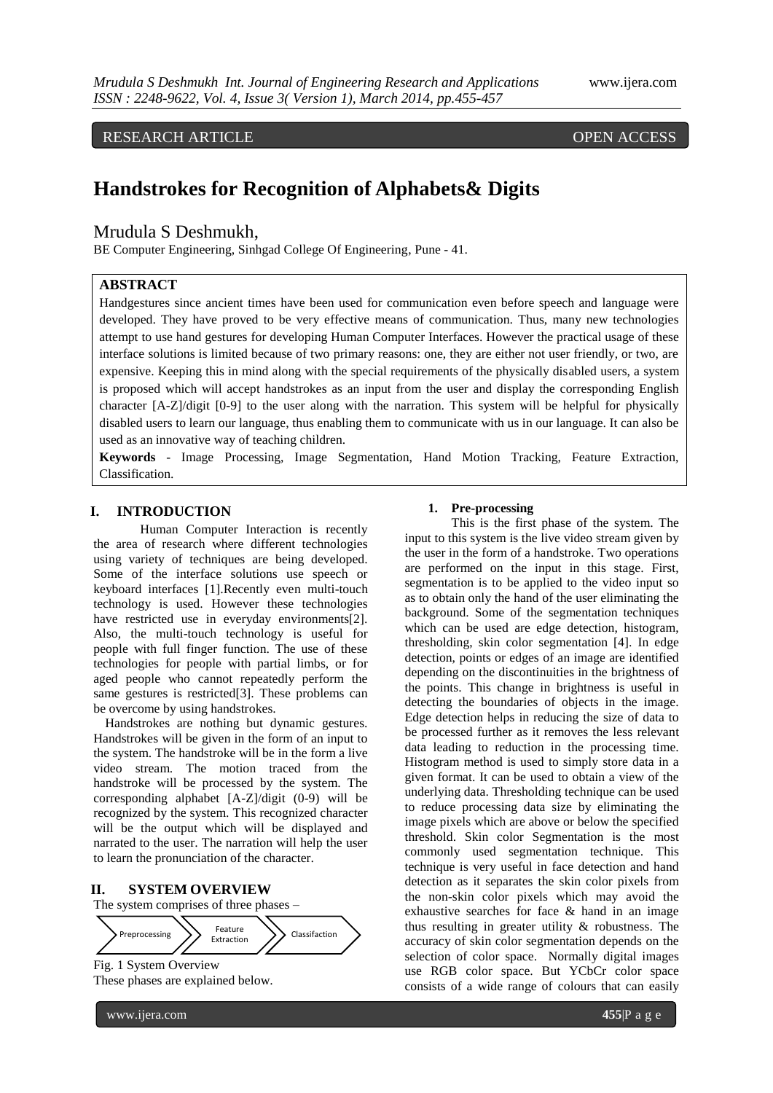RESEARCH ARTICLE OPEN ACCESS

# **Handstrokes for Recognition of Alphabets& Digits**

## Mrudula S Deshmukh,

BE Computer Engineering, Sinhgad College Of Engineering, Pune - 41.

## **ABSTRACT**

Handgestures since ancient times have been used for communication even before speech and language were developed. They have proved to be very effective means of communication. Thus, many new technologies attempt to use hand gestures for developing Human Computer Interfaces. However the practical usage of these interface solutions is limited because of two primary reasons: one, they are either not user friendly, or two, are expensive. Keeping this in mind along with the special requirements of the physically disabled users, a system is proposed which will accept handstrokes as an input from the user and display the corresponding English character [A-Z]/digit [0-9] to the user along with the narration. This system will be helpful for physically disabled users to learn our language, thus enabling them to communicate with us in our language. It can also be used as an innovative way of teaching children.

**Keywords** - Image Processing, Image Segmentation, Hand Motion Tracking, Feature Extraction, Classification.

### **I. INTRODUCTION**

Human Computer Interaction is recently the area of research where different technologies using variety of techniques are being developed. Some of the interface solutions use speech or keyboard interfaces [1].Recently even multi-touch technology is used. However these technologies have restricted use in everyday environments<sup>[2]</sup>. Also, the multi-touch technology is useful for people with full finger function. The use of these technologies for people with partial limbs, or for aged people who cannot repeatedly perform the same gestures is restricted[3]. These problems can be overcome by using handstrokes.

Handstrokes are nothing but dynamic gestures. Handstrokes will be given in the form of an input to the system. The handstroke will be in the form a live video stream. The motion traced from the handstroke will be processed by the system. The corresponding alphabet [A-Z]/digit (0-9) will be recognized by the system. This recognized character will be the output which will be displayed and narrated to the user. The narration will help the user to learn the pronunciation of the character.

# **II. SYSTEM OVERVIEW**



These phases are explained below.

#### www.ijera.com **455**|P a g e

#### **1. Pre-processing**

This is the first phase of the system. The input to this system is the live video stream given by the user in the form of a handstroke. Two operations are performed on the input in this stage. First, segmentation is to be applied to the video input so as to obtain only the hand of the user eliminating the background. Some of the segmentation techniques which can be used are edge detection, histogram, thresholding, skin color segmentation [4]. In edge detection, points or edges of an image are identified depending on the discontinuities in the brightness of the points. This change in brightness is useful in detecting the boundaries of objects in the image. Edge detection helps in reducing the size of data to be processed further as it removes the less relevant data leading to reduction in the processing time. Histogram method is used to simply store data in a given format. It can be used to obtain a view of the underlying data. Thresholding technique can be used to reduce processing data size by eliminating the image pixels which are above or below the specified threshold. Skin color Segmentation is the most commonly used segmentation technique. This technique is very useful in face detection and hand detection as it separates the skin color pixels from the non-skin color pixels which may avoid the exhaustive searches for face & hand in an image thus resulting in greater utility & robustness. The accuracy of skin color segmentation depends on the selection of color space. Normally digital images use RGB color space. But YCbCr color space consists of a wide range of colours that can easily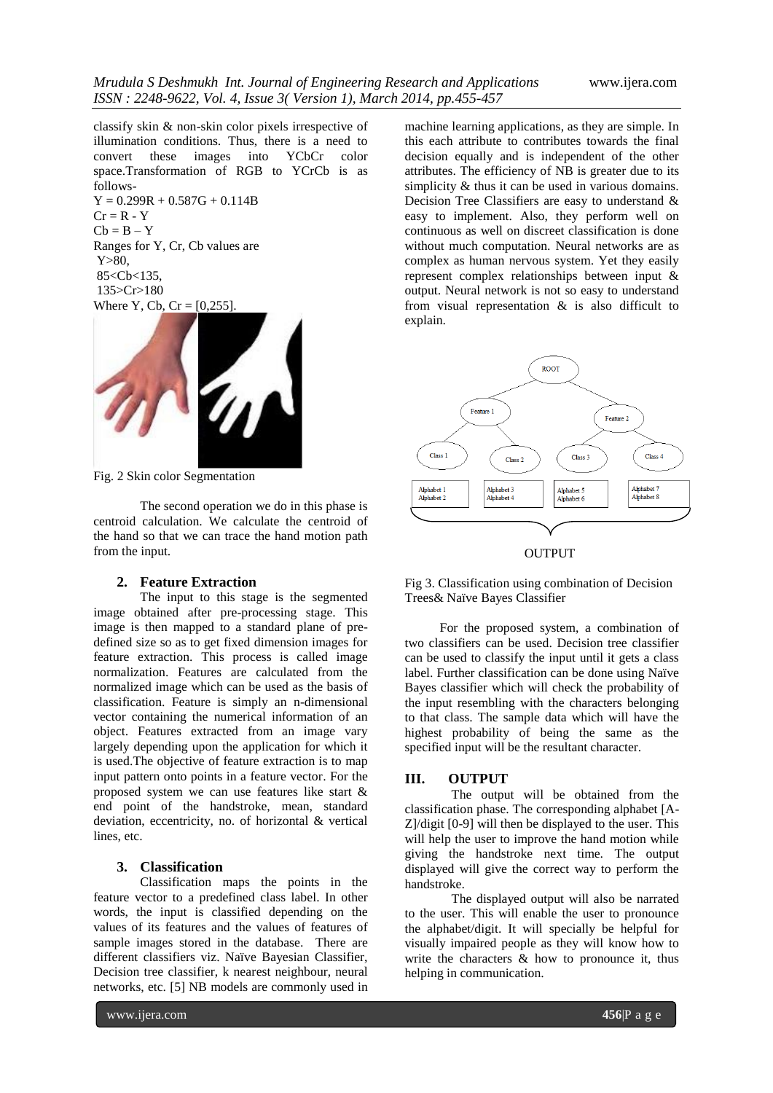classify skin & non-skin color pixels irrespective of illumination conditions. Thus, there is a need to convert these images into YCbCr color space.Transformation of RGB to YCrCb is as follows-

 $Y = 0.299R + 0.587G + 0.114B$  $Cr = R - Y$  $Cb = B - Y$ Ranges for Y, Cr, Cb values are Y>80, 85<Cb<135, 135>Cr>180 Where Y, Cb,  $Cr = [0, 255]$ .



Fig. 2 Skin color Segmentation

The second operation we do in this phase is centroid calculation. We calculate the centroid of the hand so that we can trace the hand motion path from the input.

#### **2. Feature Extraction**

The input to this stage is the segmented image obtained after pre-processing stage. This image is then mapped to a standard plane of predefined size so as to get fixed dimension images for feature extraction. This process is called image normalization. Features are calculated from the normalized image which can be used as the basis of classification. Feature is simply an n-dimensional vector containing the numerical information of an object. Features extracted from an image vary largely depending upon the application for which it is used.The objective of feature extraction is to map input pattern onto points in a feature vector. For the proposed system we can use features like start & end point of the handstroke, mean, standard deviation, eccentricity, no. of horizontal & vertical lines, etc.

### **3. Classification**

Classification maps the points in the feature vector to a predefined class label. In other words, the input is classified depending on the values of its features and the values of features of sample images stored in the database. There are different classifiers viz. Naïve Bayesian Classifier, Decision tree classifier, k nearest neighbour, neural networks, etc. [5] NB models are commonly used in machine learning applications, as they are simple. In this each attribute to contributes towards the final decision equally and is independent of the other attributes. The efficiency of NB is greater due to its simplicity & thus it can be used in various domains. Decision Tree Classifiers are easy to understand & easy to implement. Also, they perform well on continuous as well on discreet classification is done without much computation. Neural networks are as complex as human nervous system. Yet they easily represent complex relationships between input & output. Neural network is not so easy to understand from visual representation & is also difficult to explain.





Fig 3. Classification using combination of Decision Trees& Naïve Bayes Classifier

For the proposed system, a combination of two classifiers can be used. Decision tree classifier can be used to classify the input until it gets a class label. Further classification can be done using Naïve Bayes classifier which will check the probability of the input resembling with the characters belonging to that class. The sample data which will have the highest probability of being the same as the specified input will be the resultant character.

#### **III. OUTPUT**

The output will be obtained from the classification phase. The corresponding alphabet [A-Z]/digit [0-9] will then be displayed to the user. This will help the user to improve the hand motion while giving the handstroke next time. The output displayed will give the correct way to perform the handstroke.

The displayed output will also be narrated to the user. This will enable the user to pronounce the alphabet/digit. It will specially be helpful for visually impaired people as they will know how to write the characters  $\&$  how to pronounce it, thus helping in communication.